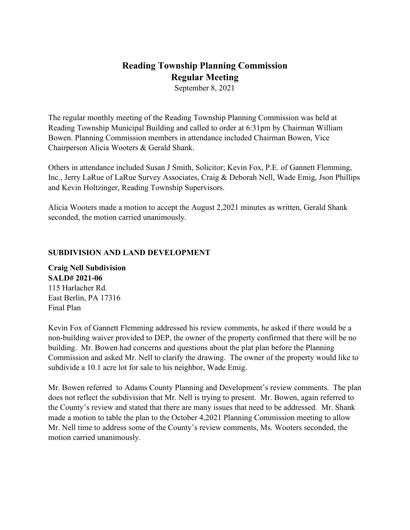# **Reading Township Planning Commission Regular Meeting**

September 8, 2021

The regular monthly meeting of the Reading Township Planning Commission was held at Reading Township Municipal Building and called to order at 6:31pm by Chairman William Bowen. Planning Commission members in attendance included Chairman Bowen, Vice Chairperson Alicia Wooters & Gerald Shank.

Others in attendance included Susan J Smith, Solicitor; Kevin Fox, P.E. of Gannett Flemming, Inc., Jerry LaRue of LaRue Survey Associates, Craig & Deborah Nell, Wade Emig, Json Phillips and Kevin Holtzinger, Reading Township Supervisors.

Alicia Wooters made a motion to accept the August 2,2021 minutes as written, Gerald Shank seconded, the motion carried unanimously.

#### **SUBDIVISION AND LAND DEVELOPMENT**

**Craig Nell Subdivision SALD# 2021-06** 115 Harlacher Rd. East Berlin, PA 17316 Final Plan

Kevin Fox of Gannett Flemming addressed his review comments, he asked if there would be a non-building waiver provided to DEP, the owner of the property confirmed that there will be no building. Mr. Bowen had concerns and questions about the plat plan before the Planning Commission and asked Mr. Nell to clarify the drawing. The owner of the property would like to subdivide a 10.1 acre lot for sale to his neighbor, Wade Emig.

Mr. Bowen referred to Adams County Planning and Development's review comments. The plan does not reflect the subdivision that Mr. Nell is trying to present. Mr. Bowen, again referred to the County's review and stated that there are many issues that need to be addressed. Mr. Shank made a motion to table the plan to the October 4,2021 Planning Commission meeting to allow Mr. Nell time to address some of the County's review comments, Ms. Wooters seconded, the motion carried unanimously.